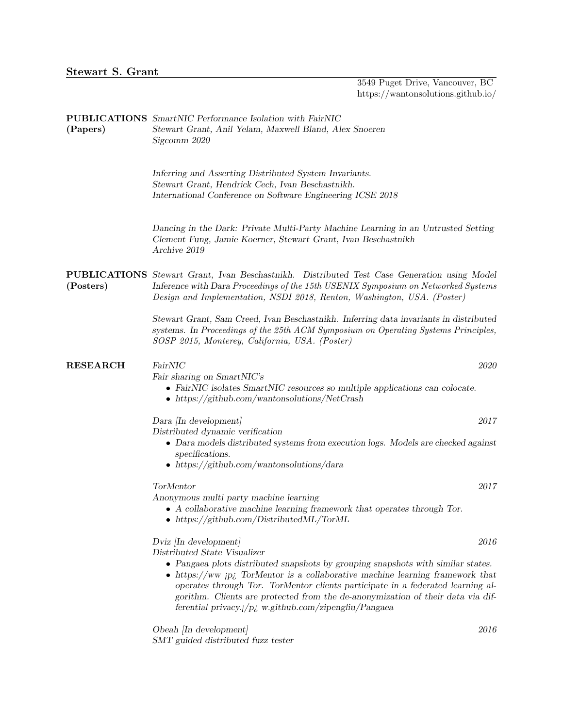| (Papers)        | <b>PUBLICATIONS</b> SmartNIC Performance Isolation with FairNIC<br>Stewart Grant, Anil Yelam, Maxwell Bland, Alex Snoeren<br>Sigcomm 2020                                                                                                                                                                                                                                                                                                                                        |
|-----------------|----------------------------------------------------------------------------------------------------------------------------------------------------------------------------------------------------------------------------------------------------------------------------------------------------------------------------------------------------------------------------------------------------------------------------------------------------------------------------------|
|                 | Inferring and Asserting Distributed System Invariants.<br>Stewart Grant, Hendrick Cech, Ivan Beschastnikh.<br>International Conference on Software Engineering ICSE 2018                                                                                                                                                                                                                                                                                                         |
|                 | Dancing in the Dark: Private Multi-Party Machine Learning in an Untrusted Setting<br>Clement Fung, Jamie Koerner, Stewart Grant, Ivan Beschastnikh<br>Archive 2019                                                                                                                                                                                                                                                                                                               |
| (Posters)       | <b>PUBLICATIONS</b> Stewart Grant, Ivan Beschastnikh. Distributed Test Case Generation using Model<br>Inference with Dara Proceedings of the 15th USENIX Symposium on Networked Systems<br>Design and Implementation, NSDI 2018, Renton, Washington, USA. (Poster)                                                                                                                                                                                                               |
|                 | Stewart Grant, Sam Creed, Ivan Beschastnikh. Inferring data invariants in distributed<br>systems. In Proceedings of the 25th ACM Symposium on Operating Systems Principles,<br>SOSP 2015, Monterey, California, USA. (Poster)                                                                                                                                                                                                                                                    |
| <b>RESEARCH</b> | FairNIC<br>2020<br>Fair sharing on SmartNIC's<br>• FairNIC isolates SmartNIC resources so multiple applications can colocate.<br>• https://github.com/wantonsolutions/NetCrash                                                                                                                                                                                                                                                                                                   |
|                 | 2017<br>Dara [In development]<br>Distributed dynamic verification<br>• Dara models distributed systems from execution logs. Models are checked against<br>specifications.<br>$\bullet$ https://github.com/wantonsolutions/dara                                                                                                                                                                                                                                                   |
|                 | TorMentor<br>2017<br>Anonymous multi party machine learning<br>$\bullet$ A collaborative machine learning framework that operates through Tor.<br>• https://github.com/Distributed $ML/TorML$                                                                                                                                                                                                                                                                                    |
|                 | Dviz [In development]<br>2016<br>Distributed State Visualizer<br>$\bullet$ Pangaea plots distributed snapshots by grouping snapshots with similar states.<br>• https://ww $ip_i$ TorMentor is a collaborative machine learning framework that<br>operates through Tor. TorMentor clients participate in a federated learning al-<br>gorithm. Clients are protected from the de-anonymization of their data via dif-<br>ferential privacy. $i/p_c$ w.github.com/zipengliu/Pangaea |
|                 | Obeah [In development]<br>2016                                                                                                                                                                                                                                                                                                                                                                                                                                                   |

SMT guided distributed fuzz tester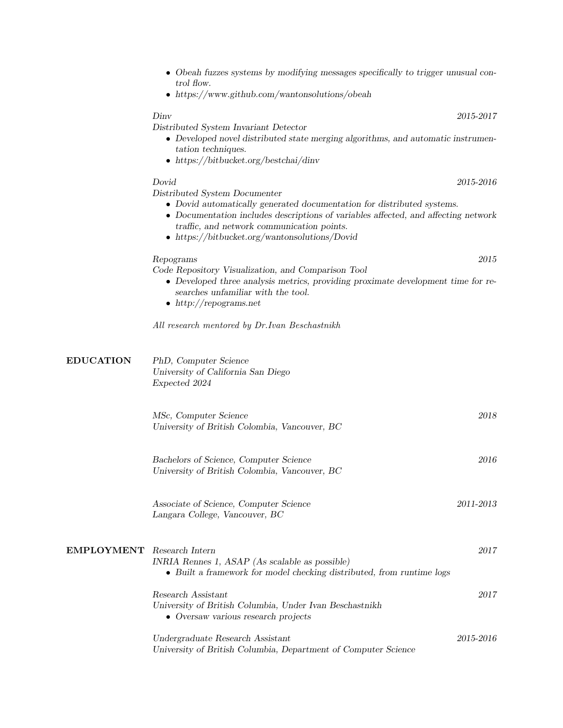- Obeah fuzzes systems by modifying messages specifically to trigger unusual control flow.
- https://www.github.com/wantonsolutions/obeah

## Dinv 2015-2017

Distributed System Invariant Detector

- Developed novel distributed state merging algorithms, and automatic instrumentation techniques.
- https://bitbucket.org/bestchai/dinv

Distributed System Documenter

- Dovid automatically generated documentation for distributed systems.
- Documentation includes descriptions of variables affected, and affecting network traffic, and network communication points.
- https://bitbucket.org/wantonsolutions/Dovid

## Repograms 2015

Code Repository Visualization, and Comparison Tool

- Developed three analysis metrics, providing proximate development time for researches unfamiliar with the tool.
- http://repograms.net

All research mentored by Dr.Ivan Beschastnikh

| <b>EDUCATION</b>  | PhD, Computer Science<br>University of California San Diego<br>Expected 2024                                                               |           |
|-------------------|--------------------------------------------------------------------------------------------------------------------------------------------|-----------|
|                   | MSc, Computer Science<br>University of British Colombia, Vancouver, BC                                                                     | 2018      |
|                   | Bachelors of Science, Computer Science<br>University of British Colombia, Vancouver, BC                                                    | 2016      |
|                   | Associate of Science, Computer Science<br>Langara College, Vancouver, BC                                                                   | 2011-2013 |
| <b>EMPLOYMENT</b> | Research Intern<br>INRIA Rennes 1, ASAP (As scalable as possible)<br>• Built a framework for model checking distributed, from runtime logs | 2017      |
|                   | Research Assistant<br>University of British Columbia, Under Ivan Beschastnikh<br>• Oversaw various research projects                       | 2017      |
|                   | Undergraduate Research Assistant<br>University of British Columbia, Department of Computer Science                                         | 2015-2016 |

## Dovid 2015-2016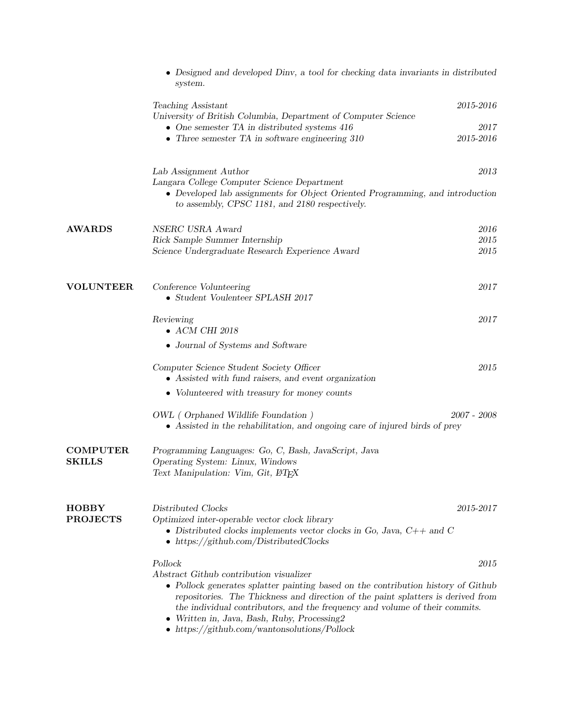|                                  | • Designed and developed Diny, a tool for checking data invariants in distributed<br>system.                                                                                                                                                                                                                                                                                                         |             |
|----------------------------------|------------------------------------------------------------------------------------------------------------------------------------------------------------------------------------------------------------------------------------------------------------------------------------------------------------------------------------------------------------------------------------------------------|-------------|
|                                  | Teaching Assistant<br>University of British Columbia, Department of Computer Science                                                                                                                                                                                                                                                                                                                 | 2015-2016   |
|                                  | • One semester TA in distributed systems $416$                                                                                                                                                                                                                                                                                                                                                       | 2017        |
|                                  | • Three semester TA in software engineering $310$                                                                                                                                                                                                                                                                                                                                                    | 2015-2016   |
|                                  | Lab Assignment Author                                                                                                                                                                                                                                                                                                                                                                                | 2013        |
|                                  | Langara College Computer Science Department<br>• Developed lab assignments for Object Oriented Programming, and introduction<br>to assembly, CPSC 1181, and 2180 respectively.                                                                                                                                                                                                                       |             |
| <b>AWARDS</b>                    | NSERC USRA Award                                                                                                                                                                                                                                                                                                                                                                                     | 2016        |
|                                  | Rick Sample Summer Internship                                                                                                                                                                                                                                                                                                                                                                        | 2015        |
|                                  | Science Undergraduate Research Experience Award                                                                                                                                                                                                                                                                                                                                                      | 2015        |
| <b>VOLUNTEER</b>                 | Conference Volunteering<br>$\bullet$ Student Voulenteer SPLASH 2017                                                                                                                                                                                                                                                                                                                                  | 2017        |
|                                  | Reviewing<br>$\bullet$ ACM CHI 2018                                                                                                                                                                                                                                                                                                                                                                  | 2017        |
|                                  | • Journal of Systems and Software                                                                                                                                                                                                                                                                                                                                                                    |             |
|                                  | Computer Science Student Society Officer<br>• Assisted with fund raisers, and event organization                                                                                                                                                                                                                                                                                                     | 2015        |
|                                  | • Volunteered with treasury for money counts                                                                                                                                                                                                                                                                                                                                                         |             |
|                                  | OWL (Orphaned Wildlife Foundation)<br>• Assisted in the rehabilitation, and ongoing care of injured birds of prey                                                                                                                                                                                                                                                                                    | 2007 - 2008 |
| <b>COMPUTER</b><br><b>SKILLS</b> | Programming Languages: Go, C, Bash, JavaScript, Java<br>Operating System: Linux, Windows<br>Text Manipulation: Vim, Git, L <sup>4</sup> T <sub>F</sub> X                                                                                                                                                                                                                                             |             |
|                                  |                                                                                                                                                                                                                                                                                                                                                                                                      |             |
| <b>HOBBY</b><br><b>PROJECTS</b>  | Distributed Clocks<br>Optimized inter-operable vector clock library<br>• Distributed clocks implements vector clocks in Go, Java, $C++$ and C<br>$\bullet$ https://github.com/DistributedClocks                                                                                                                                                                                                      | 2015-2017   |
|                                  | Pollock                                                                                                                                                                                                                                                                                                                                                                                              | 2015        |
|                                  | Abstract Github contribution visualizer<br>• Pollock generates splatter painting based on the contribution history of Github<br>repositories. The Thickness and direction of the paint splatters is derived from<br>the individual contributors, and the frequency and volume of their commits.<br>Written in, Java, Bash, Ruby, Processing2<br>$\bullet$ https://github.com/wantonsolutions/Pollock |             |